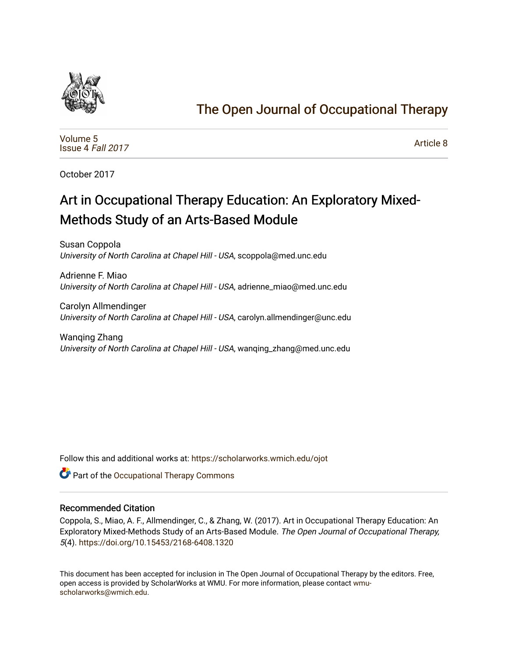

## [The Open Journal of Occupational Therapy](https://scholarworks.wmich.edu/ojot)

[Volume 5](https://scholarworks.wmich.edu/ojot/vol5) [Issue 4](https://scholarworks.wmich.edu/ojot/vol5/iss4) Fall 2017

[Article 8](https://scholarworks.wmich.edu/ojot/vol5/iss4/8) 

October 2017

# Art in Occupational Therapy Education: An Exploratory Mixed-Methods Study of an Arts-Based Module

Susan Coppola University of North Carolina at Chapel Hill - USA, scoppola@med.unc.edu

Adrienne F. Miao University of North Carolina at Chapel Hill - USA, adrienne\_miao@med.unc.edu

Carolyn Allmendinger University of North Carolina at Chapel Hill - USA, carolyn.allmendinger@unc.edu

Wanqing Zhang University of North Carolina at Chapel Hill - USA, wanqing\_zhang@med.unc.edu

Follow this and additional works at: [https://scholarworks.wmich.edu/ojot](https://scholarworks.wmich.edu/ojot?utm_source=scholarworks.wmich.edu%2Fojot%2Fvol5%2Fiss4%2F8&utm_medium=PDF&utm_campaign=PDFCoverPages)

**C** Part of the Occupational Therapy Commons

#### Recommended Citation

Coppola, S., Miao, A. F., Allmendinger, C., & Zhang, W. (2017). Art in Occupational Therapy Education: An Exploratory Mixed-Methods Study of an Arts-Based Module. The Open Journal of Occupational Therapy, 5(4).<https://doi.org/10.15453/2168-6408.1320>

This document has been accepted for inclusion in The Open Journal of Occupational Therapy by the editors. Free, open access is provided by ScholarWorks at WMU. For more information, please contact [wmu](mailto:wmu-scholarworks@wmich.edu)[scholarworks@wmich.edu.](mailto:wmu-scholarworks@wmich.edu)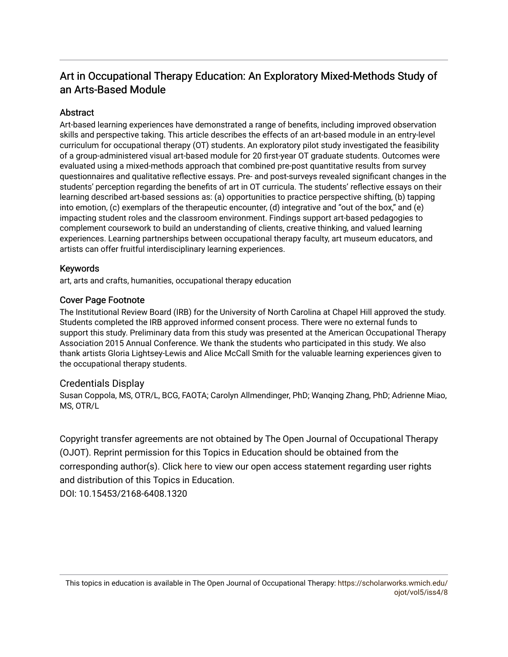## Art in Occupational Therapy Education: An Exploratory Mixed-Methods Study of an Arts-Based Module

## **Abstract**

Art-based learning experiences have demonstrated a range of benefits, including improved observation skills and perspective taking. This article describes the effects of an art-based module in an entry-level curriculum for occupational therapy (OT) students. An exploratory pilot study investigated the feasibility of a group-administered visual art-based module for 20 first-year OT graduate students. Outcomes were evaluated using a mixed-methods approach that combined pre-post quantitative results from survey questionnaires and qualitative reflective essays. Pre- and post-surveys revealed significant changes in the students' perception regarding the benefits of art in OT curricula. The students' reflective essays on their learning described art-based sessions as: (a) opportunities to practice perspective shifting, (b) tapping into emotion, (c) exemplars of the therapeutic encounter, (d) integrative and "out of the box," and (e) impacting student roles and the classroom environment. Findings support art-based pedagogies to complement coursework to build an understanding of clients, creative thinking, and valued learning experiences. Learning partnerships between occupational therapy faculty, art museum educators, and artists can offer fruitful interdisciplinary learning experiences.

## Keywords

art, arts and crafts, humanities, occupational therapy education

## Cover Page Footnote

The Institutional Review Board (IRB) for the University of North Carolina at Chapel Hill approved the study. Students completed the IRB approved informed consent process. There were no external funds to support this study. Preliminary data from this study was presented at the American Occupational Therapy Association 2015 Annual Conference. We thank the students who participated in this study. We also thank artists Gloria Lightsey-Lewis and Alice McCall Smith for the valuable learning experiences given to the occupational therapy students.

#### Credentials Display

Susan Coppola, MS, OTR/L, BCG, FAOTA; Carolyn Allmendinger, PhD; Wanqing Zhang, PhD; Adrienne Miao, MS, OTR/L

Copyright transfer agreements are not obtained by The Open Journal of Occupational Therapy (OJOT). Reprint permission for this Topics in Education should be obtained from the corresponding author(s). Click [here](https://scholarworks.wmich.edu/ojot/policies.html#rights) to view our open access statement regarding user rights and distribution of this Topics in Education.

DOI: 10.15453/2168-6408.1320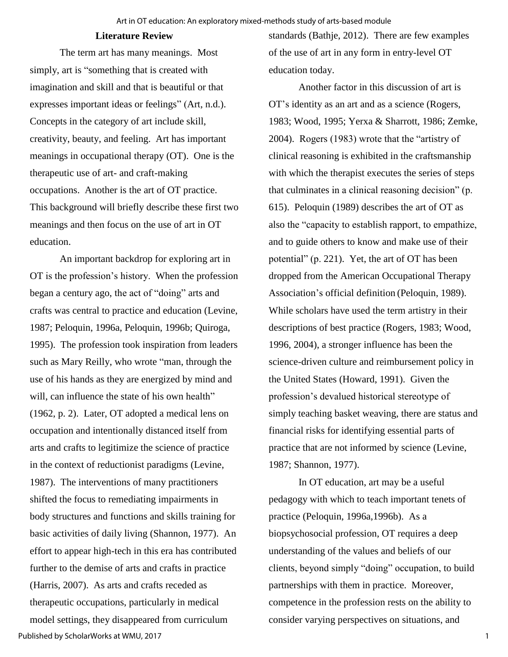#### **Literature Review**

The term art has many meanings. Most simply, art is "something that is created with imagination and skill and that is beautiful or that expresses important ideas or feelings" (Art, n.d.). Concepts in the category of art include skill, creativity, beauty, and feeling. Art has important meanings in occupational therapy (OT). One is the therapeutic use of art- and craft-making occupations. Another is the art of OT practice. This background will briefly describe these first two meanings and then focus on the use of art in OT education.

An important backdrop for exploring art in OT is the profession's history. When the profession began a century ago, the act of "doing" arts and crafts was central to practice and education (Levine, 1987; Peloquin, 1996a, Peloquin, 1996b; Quiroga, 1995). The profession took inspiration from leaders such as Mary Reilly, who wrote "man, through the use of his hands as they are energized by mind and will, can influence the state of his own health" (1962, p. 2). Later, OT adopted a medical lens on occupation and intentionally distanced itself from arts and crafts to legitimize the science of practice in the context of reductionist paradigms (Levine, 1987). The interventions of many practitioners shifted the focus to remediating impairments in body structures and functions and skills training for basic activities of daily living (Shannon, 1977). An effort to appear high-tech in this era has contributed further to the demise of arts and crafts in practice (Harris, 2007). As arts and crafts receded as therapeutic occupations, particularly in medical model settings, they disappeared from curriculum Published by ScholarWorks at WMU, 2017

standards (Bathje, 2012). There are few examples of the use of art in any form in entry-level OT education today.

Another factor in this discussion of art is OT's identity as an art and as a science (Rogers, 1983; Wood, 1995; Yerxa & Sharrott, 1986; Zemke, 2004). Rogers (1983) wrote that the "artistry of clinical reasoning is exhibited in the craftsmanship with which the therapist executes the series of steps that culminates in a clinical reasoning decision" (p. 615). Peloquin (1989) describes the art of OT as also the "capacity to establish rapport, to empathize, and to guide others to know and make use of their potential" (p. 221). Yet, the art of OT has been dropped from the American Occupational Therapy Association's official definition (Peloquin, 1989). While scholars have used the term artistry in their descriptions of best practice (Rogers, 1983; Wood, 1996, 2004), a stronger influence has been the science-driven culture and reimbursement policy in the United States (Howard, 1991). Given the profession's devalued historical stereotype of simply teaching basket weaving, there are status and financial risks for identifying essential parts of practice that are not informed by science (Levine, 1987; Shannon, 1977).

In OT education, art may be a useful pedagogy with which to teach important tenets of practice (Peloquin, 1996a,1996b). As a biopsychosocial profession, OT requires a deep understanding of the values and beliefs of our clients, beyond simply "doing" occupation, to build partnerships with them in practice. Moreover, competence in the profession rests on the ability to consider varying perspectives on situations, and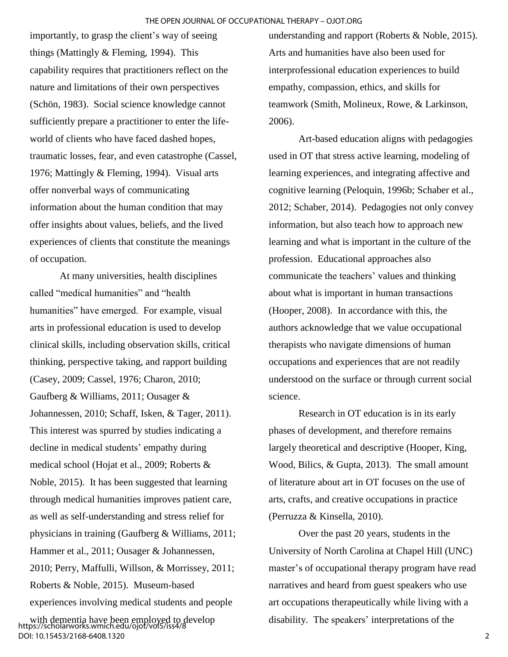importantly, to grasp the client's way of seeing things (Mattingly & Fleming, 1994). This capability requires that practitioners reflect on the nature and limitations of their own perspectives (Schön, 1983). Social science knowledge cannot sufficiently prepare a practitioner to enter the lifeworld of clients who have faced dashed hopes, traumatic losses, fear, and even catastrophe (Cassel, 1976; Mattingly & Fleming, 1994). Visual arts offer nonverbal ways of communicating information about the human condition that may offer insights about values, beliefs, and the lived experiences of clients that constitute the meanings of occupation.

At many universities, health disciplines called "medical humanities" and "health humanities" have emerged. For example, visual arts in professional education is used to develop clinical skills, including observation skills, critical thinking, perspective taking, and rapport building (Casey, 2009; Cassel, 1976; Charon, 2010; Gaufberg & Williams, 2011; Ousager & Johannessen, 2010; Schaff, Isken, & Tager, 2011). This interest was spurred by studies indicating a decline in medical students' empathy during medical school (Hojat et al., 2009; Roberts & Noble, 2015). It has been suggested that learning through medical humanities improves patient care, as well as self-understanding and stress relief for physicians in training (Gaufberg & Williams, 2011; Hammer et al., 2011; Ousager & Johannessen, 2010; Perry, Maffulli, Willson, & Morrissey, 2011; Roberts & Noble, 2015). Museum-based experiences involving medical students and people

with dementia have been employed to develop https://scholarworks.wmich.edu/ojot/vol5/iss4/8 DOI: 10.15453/2168-6408.1320

understanding and rapport (Roberts & Noble, 2015). Arts and humanities have also been used for interprofessional education experiences to build empathy, compassion, ethics, and skills for teamwork (Smith, Molineux, Rowe, & Larkinson, 2006).

Art-based education aligns with pedagogies used in OT that stress active learning, modeling of learning experiences, and integrating affective and cognitive learning (Peloquin, 1996b; Schaber et al., 2012; Schaber, 2014). Pedagogies not only convey information, but also teach how to approach new learning and what is important in the culture of the profession. Educational approaches also communicate the teachers' values and thinking about what is important in human transactions (Hooper, 2008). In accordance with this, the authors acknowledge that we value occupational therapists who navigate dimensions of human occupations and experiences that are not readily understood on the surface or through current social science.

Research in OT education is in its early phases of development, and therefore remains largely theoretical and descriptive (Hooper, King, Wood, Bilics, & Gupta, 2013). The small amount of literature about art in OT focuses on the use of arts, crafts, and creative occupations in practice (Perruzza & Kinsella, 2010).

Over the past 20 years, students in the University of North Carolina at Chapel Hill (UNC) master's of occupational therapy program have read narratives and heard from guest speakers who use art occupations therapeutically while living with a disability. The speakers' interpretations of the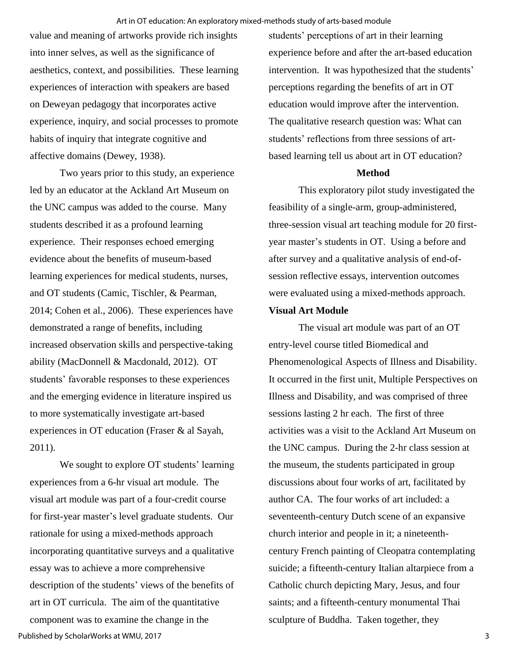value and meaning of artworks provide rich insights into inner selves, as well as the significance of aesthetics, context, and possibilities. These learning experiences of interaction with speakers are based on Deweyan pedagogy that incorporates active experience, inquiry, and social processes to promote habits of inquiry that integrate cognitive and affective domains (Dewey, 1938).

Two years prior to this study, an experience led by an educator at the Ackland Art Museum on the UNC campus was added to the course. Many students described it as a profound learning experience. Their responses echoed emerging evidence about the benefits of museum-based learning experiences for medical students, nurses, and OT students (Camic, Tischler, & Pearman, 2014; Cohen et al., 2006). These experiences have demonstrated a range of benefits, including increased observation skills and perspective-taking ability (MacDonnell & Macdonald, 2012). OT students' favorable responses to these experiences and the emerging evidence in literature inspired us to more systematically investigate art-based experiences in OT education (Fraser & al Sayah, 2011).

We sought to explore OT students' learning experiences from a 6-hr visual art module. The visual art module was part of a four-credit course for first-year master's level graduate students. Our rationale for using a mixed-methods approach incorporating quantitative surveys and a qualitative essay was to achieve a more comprehensive description of the students' views of the benefits of art in OT curricula. The aim of the quantitative component was to examine the change in the Published by ScholarWorks at WMU, 2017

students' perceptions of art in their learning experience before and after the art-based education intervention. It was hypothesized that the students' perceptions regarding the benefits of art in OT education would improve after the intervention. The qualitative research question was: What can students' reflections from three sessions of artbased learning tell us about art in OT education?

#### **Method**

This exploratory pilot study investigated the feasibility of a single-arm, group-administered, three-session visual art teaching module for 20 firstyear master's students in OT. Using a before and after survey and a qualitative analysis of end-ofsession reflective essays, intervention outcomes were evaluated using a mixed-methods approach.

## **Visual Art Module**

The visual art module was part of an OT entry-level course titled Biomedical and Phenomenological Aspects of Illness and Disability. It occurred in the first unit, Multiple Perspectives on Illness and Disability, and was comprised of three sessions lasting 2 hr each. The first of three activities was a visit to the Ackland Art Museum on the UNC campus. During the 2-hr class session at the museum, the students participated in group discussions about four works of art, facilitated by author CA. The four works of art included: a seventeenth-century Dutch scene of an expansive church interior and people in it; a nineteenthcentury French painting of Cleopatra contemplating suicide; a fifteenth-century Italian altarpiece from a Catholic church depicting Mary, Jesus, and four saints; and a fifteenth-century monumental Thai sculpture of Buddha. Taken together, they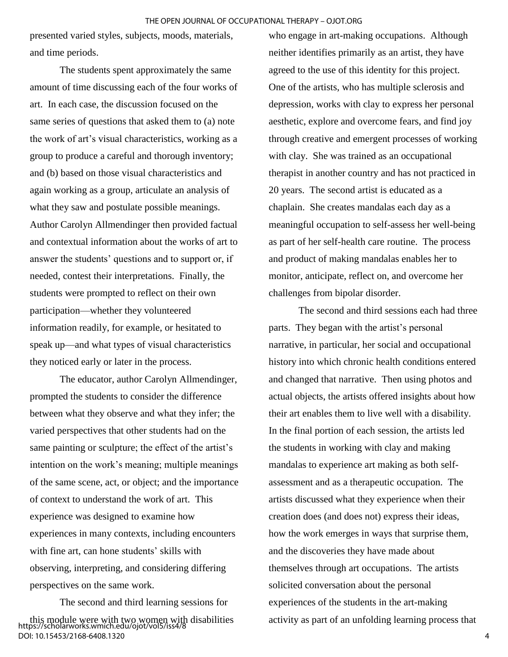presented varied styles, subjects, moods, materials, and time periods.

The students spent approximately the same amount of time discussing each of the four works of art. In each case, the discussion focused on the same series of questions that asked them to (a) note the work of art's visual characteristics, working as a group to produce a careful and thorough inventory; and (b) based on those visual characteristics and again working as a group, articulate an analysis of what they saw and postulate possible meanings. Author Carolyn Allmendinger then provided factual and contextual information about the works of art to answer the students' questions and to support or, if needed, contest their interpretations. Finally, the students were prompted to reflect on their own participation—whether they volunteered information readily, for example, or hesitated to speak up—and what types of visual characteristics they noticed early or later in the process.

The educator, author Carolyn Allmendinger, prompted the students to consider the difference between what they observe and what they infer; the varied perspectives that other students had on the same painting or sculpture; the effect of the artist's intention on the work's meaning; multiple meanings of the same scene, act, or object; and the importance of context to understand the work of art. This experience was designed to examine how experiences in many contexts, including encounters with fine art, can hone students' skills with observing, interpreting, and considering differing perspectives on the same work.

The second and third learning sessions for this module were with two women with disabilities https://scholarworks.wmich.edu/ojot/vol5/iss4/8 DOI: 10.15453/2168-6408.1320

who engage in art-making occupations. Although neither identifies primarily as an artist, they have agreed to the use of this identity for this project. One of the artists, who has multiple sclerosis and depression, works with clay to express her personal aesthetic, explore and overcome fears, and find joy through creative and emergent processes of working with clay. She was trained as an occupational therapist in another country and has not practiced in 20 years. The second artist is educated as a chaplain. She creates mandalas each day as a meaningful occupation to self-assess her well-being as part of her self-health care routine. The process and product of making mandalas enables her to monitor, anticipate, reflect on, and overcome her challenges from bipolar disorder.

The second and third sessions each had three parts. They began with the artist's personal narrative, in particular, her social and occupational history into which chronic health conditions entered and changed that narrative. Then using photos and actual objects, the artists offered insights about how their art enables them to live well with a disability. In the final portion of each session, the artists led the students in working with clay and making mandalas to experience art making as both selfassessment and as a therapeutic occupation. The artists discussed what they experience when their creation does (and does not) express their ideas, how the work emerges in ways that surprise them, and the discoveries they have made about themselves through art occupations. The artists solicited conversation about the personal experiences of the students in the art-making activity as part of an unfolding learning process that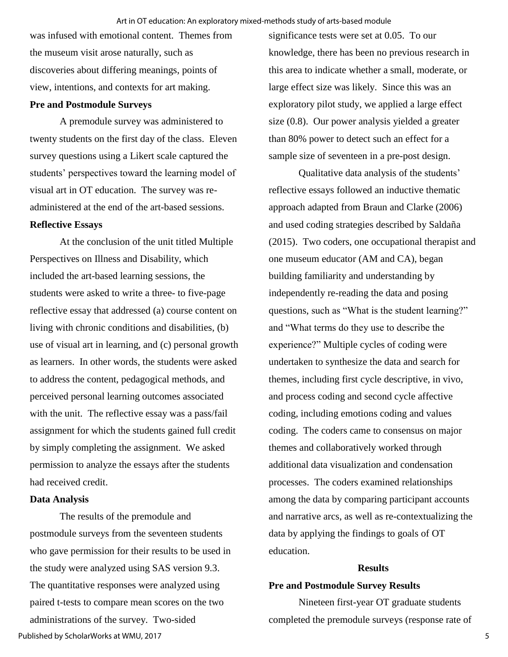was infused with emotional content. Themes from the museum visit arose naturally, such as discoveries about differing meanings, points of view, intentions, and contexts for art making.

#### **Pre and Postmodule Surveys**

A premodule survey was administered to twenty students on the first day of the class. Eleven survey questions using a Likert scale captured the students' perspectives toward the learning model of visual art in OT education. The survey was readministered at the end of the art-based sessions. **Reflective Essays** 

At the conclusion of the unit titled Multiple Perspectives on Illness and Disability, which included the art-based learning sessions, the students were asked to write a three- to five-page reflective essay that addressed (a) course content on living with chronic conditions and disabilities, (b) use of visual art in learning, and (c) personal growth as learners. In other words, the students were asked to address the content, pedagogical methods, and perceived personal learning outcomes associated with the unit. The reflective essay was a pass/fail assignment for which the students gained full credit by simply completing the assignment. We asked permission to analyze the essays after the students had received credit.

## **Data Analysis**

The results of the premodule and postmodule surveys from the seventeen students who gave permission for their results to be used in the study were analyzed using SAS version 9.3. The quantitative responses were analyzed using paired t-tests to compare mean scores on the two administrations of the survey. Two-sided Published by ScholarWorks at WMU, 2017

significance tests were set at 0.05. To our knowledge, there has been no previous research in this area to indicate whether a small, moderate, or large effect size was likely. Since this was an exploratory pilot study, we applied a large effect size (0.8). Our power analysis yielded a greater than 80% power to detect such an effect for a sample size of seventeen in a pre-post design.

Qualitative data analysis of the students' reflective essays followed an inductive thematic approach adapted from Braun and Clarke (2006) and used coding strategies described by Saldaña (2015). Two coders, one occupational therapist and one museum educator (AM and CA), began building familiarity and understanding by independently re-reading the data and posing questions, such as "What is the student learning?" and "What terms do they use to describe the experience?" Multiple cycles of coding were undertaken to synthesize the data and search for themes, including first cycle descriptive, in vivo, and process coding and second cycle affective coding, including emotions coding and values coding. The coders came to consensus on major themes and collaboratively worked through additional data visualization and condensation processes. The coders examined relationships among the data by comparing participant accounts and narrative arcs, as well as re-contextualizing the data by applying the findings to goals of OT education.

#### **Results**

#### **Pre and Postmodule Survey Results**

Nineteen first-year OT graduate students completed the premodule surveys (response rate of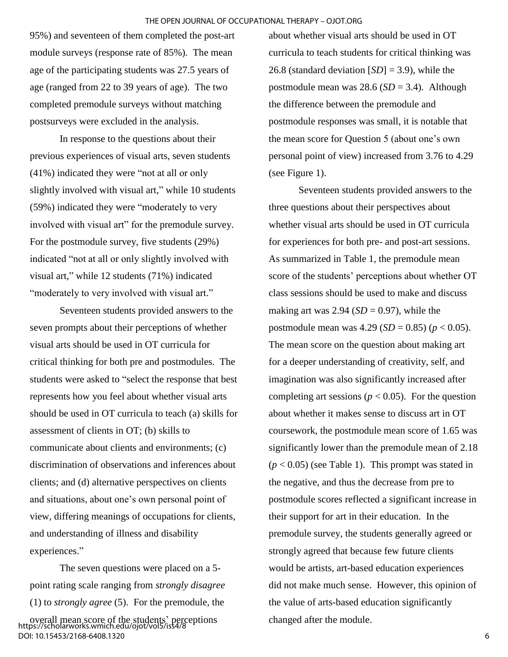95%) and seventeen of them completed the post-art module surveys (response rate of 85%). The mean age of the participating students was 27.5 years of age (ranged from 22 to 39 years of age). The two completed premodule surveys without matching postsurveys were excluded in the analysis.

In response to the questions about their previous experiences of visual arts, seven students (41%) indicated they were "not at all or only slightly involved with visual art," while 10 students (59%) indicated they were "moderately to very involved with visual art" for the premodule survey. For the postmodule survey, five students (29%) indicated "not at all or only slightly involved with visual art," while 12 students (71%) indicated "moderately to very involved with visual art."

Seventeen students provided answers to the seven prompts about their perceptions of whether visual arts should be used in OT curricula for critical thinking for both pre and postmodules. The students were asked to "select the response that best represents how you feel about whether visual arts should be used in OT curricula to teach (a) skills for assessment of clients in OT; (b) skills to communicate about clients and environments; (c) discrimination of observations and inferences about clients; and (d) alternative perspectives on clients and situations, about one's own personal point of view, differing meanings of occupations for clients, and understanding of illness and disability experiences."

The seven questions were placed on a 5 point rating scale ranging from *strongly disagree* (1) to *strongly agree* (5). For the premodule, the overall mean score of the students' perceptions https://scholarworks.wmich.edu/ojot/vol5/iss4/8 DOI: 10.15453/2168-6408.1320

about whether visual arts should be used in OT curricula to teach students for critical thinking was 26.8 (standard deviation [*SD*] = 3.9), while the postmodule mean was 28.6 (*SD* = 3.4). Although the difference between the premodule and postmodule responses was small, it is notable that the mean score for Question 5 (about one's own personal point of view) increased from 3.76 to 4.29 (see Figure 1).

Seventeen students provided answers to the three questions about their perspectives about whether visual arts should be used in OT curricula for experiences for both pre- and post-art sessions. As summarized in Table 1, the premodule mean score of the students' perceptions about whether OT class sessions should be used to make and discuss making art was  $2.94$  (*SD* = 0.97), while the postmodule mean was  $4.29$  (*SD* = 0.85) ( $p < 0.05$ ). The mean score on the question about making art for a deeper understanding of creativity, self, and imagination was also significantly increased after completing art sessions ( $p < 0.05$ ). For the question about whether it makes sense to discuss art in OT coursework, the postmodule mean score of 1.65 was significantly lower than the premodule mean of 2.18  $(p < 0.05)$  (see Table 1). This prompt was stated in the negative, and thus the decrease from pre to postmodule scores reflected a significant increase in their support for art in their education. In the premodule survey, the students generally agreed or strongly agreed that because few future clients would be artists, art-based education experiences did not make much sense. However, this opinion of the value of arts-based education significantly changed after the module.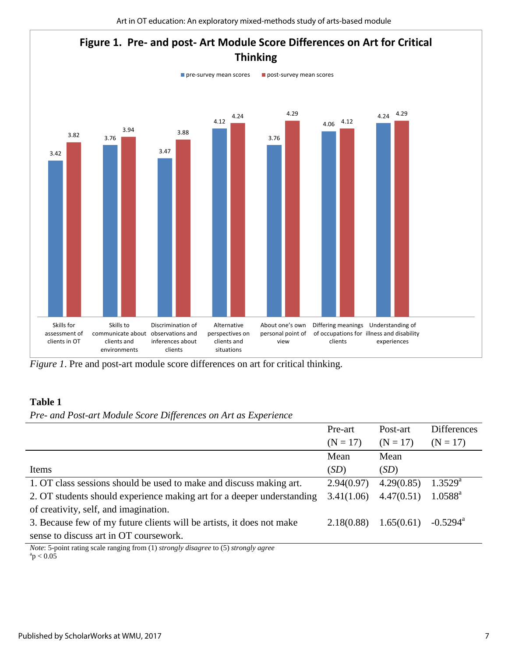

*Figure 1*. Pre and post-art module score differences on art for critical thinking.

## **Table 1**

*Pre- and Post-art Module Score Differences on Art as Experience* 

|                                                                                                                                                                                                                                                                                                                                 | Pre-art    | Post-art   | <b>Differences</b>     |
|---------------------------------------------------------------------------------------------------------------------------------------------------------------------------------------------------------------------------------------------------------------------------------------------------------------------------------|------------|------------|------------------------|
|                                                                                                                                                                                                                                                                                                                                 | $(N = 17)$ | $(N = 17)$ | $(N = 17)$             |
|                                                                                                                                                                                                                                                                                                                                 | Mean       | Mean       |                        |
| Items                                                                                                                                                                                                                                                                                                                           | (SD)       | (SD)       |                        |
| 1. OT class sessions should be used to make and discuss making art.                                                                                                                                                                                                                                                             | 2.94(0.97) | 4.29(0.85) | $1.3529^{a}$           |
| 2. OT students should experience making art for a deeper understanding                                                                                                                                                                                                                                                          | 3.41(1.06) | 4.47(0.51) | $1.0588^{\rm a}$       |
| of creativity, self, and imagination.                                                                                                                                                                                                                                                                                           |            |            |                        |
| 3. Because few of my future clients will be artists, it does not make                                                                                                                                                                                                                                                           | 2.18(0.88) | 1.65(0.61) | $-0.5294$ <sup>a</sup> |
| sense to discuss art in OT coursework.                                                                                                                                                                                                                                                                                          |            |            |                        |
| $\mathcal{M}$ , $\mathcal{L}$ , $\mathcal{L}$ , $\mathcal{L}$ , $\mathcal{L}$ , $\mathcal{L}$ , $\mathcal{L}$ , $\mathcal{L}$ , $\mathcal{L}$ , $\mathcal{L}$ , $\mathcal{L}$ , $\mathcal{L}$ , $\mathcal{L}$ , $\mathcal{L}$ , $\mathcal{L}$ , $\mathcal{L}$ , $\mathcal{L}$ , $\mathcal{L}$ , $\mathcal{L}$ , $\mathcal{L}$ , |            |            |                        |

*Note*: 5-point rating scale ranging from (1) *strongly disagree* to (5) *strongly agree*  $\rm{^{a}p} < 0.05$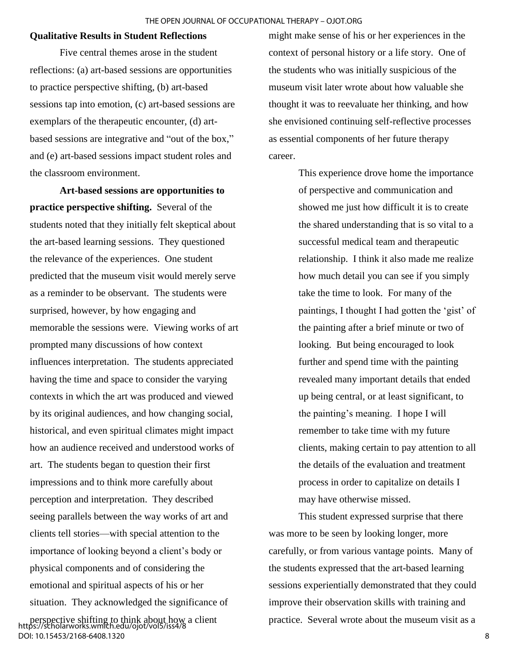#### **Qualitative Results in Student Reflections**

Five central themes arose in the student reflections: (a) art-based sessions are opportunities to practice perspective shifting, (b) art-based sessions tap into emotion, (c) art-based sessions are exemplars of the therapeutic encounter, (d) artbased sessions are integrative and "out of the box," and (e) art-based sessions impact student roles and the classroom environment.

**Art-based sessions are opportunities to practice perspective shifting.** Several of the students noted that they initially felt skeptical about the art-based learning sessions. They questioned the relevance of the experiences. One student predicted that the museum visit would merely serve as a reminder to be observant. The students were surprised, however, by how engaging and memorable the sessions were. Viewing works of art prompted many discussions of how context influences interpretation. The students appreciated having the time and space to consider the varying contexts in which the art was produced and viewed by its original audiences, and how changing social, historical, and even spiritual climates might impact how an audience received and understood works of art. The students began to question their first impressions and to think more carefully about perception and interpretation. They described seeing parallels between the way works of art and clients tell stories—with special attention to the importance of looking beyond a client's body or physical components and of considering the emotional and spiritual aspects of his or her situation. They acknowledged the significance of

perspective shifting to think about how a client https://scholarworks.wmich.edu/ojot/vol5/iss4/8 DOI: 10.15453/2168-6408.1320

might make sense of his or her experiences in the context of personal history or a life story. One of the students who was initially suspicious of the museum visit later wrote about how valuable she thought it was to reevaluate her thinking, and how she envisioned continuing self-reflective processes as essential components of her future therapy career.

> This experience drove home the importance of perspective and communication and showed me just how difficult it is to create the shared understanding that is so vital to a successful medical team and therapeutic relationship. I think it also made me realize how much detail you can see if you simply take the time to look. For many of the paintings, I thought I had gotten the 'gist' of the painting after a brief minute or two of looking. But being encouraged to look further and spend time with the painting revealed many important details that ended up being central, or at least significant, to the painting's meaning. I hope I will remember to take time with my future clients, making certain to pay attention to all the details of the evaluation and treatment process in order to capitalize on details I may have otherwise missed.

This student expressed surprise that there was more to be seen by looking longer, more carefully, or from various vantage points. Many of the students expressed that the art-based learning sessions experientially demonstrated that they could improve their observation skills with training and practice. Several wrote about the museum visit as a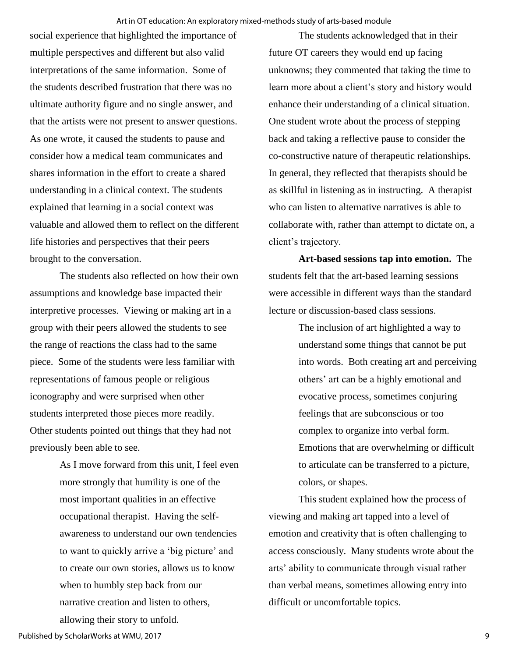social experience that highlighted the importance of multiple perspectives and different but also valid interpretations of the same information. Some of the students described frustration that there was no ultimate authority figure and no single answer, and that the artists were not present to answer questions. As one wrote, it caused the students to pause and consider how a medical team communicates and shares information in the effort to create a shared understanding in a clinical context. The students explained that learning in a social context was valuable and allowed them to reflect on the different life histories and perspectives that their peers brought to the conversation.

The students also reflected on how their own assumptions and knowledge base impacted their interpretive processes. Viewing or making art in a group with their peers allowed the students to see the range of reactions the class had to the same piece. Some of the students were less familiar with representations of famous people or religious iconography and were surprised when other students interpreted those pieces more readily. Other students pointed out things that they had not previously been able to see.

> As I move forward from this unit, I feel even more strongly that humility is one of the most important qualities in an effective occupational therapist. Having the selfawareness to understand our own tendencies to want to quickly arrive a 'big picture' and to create our own stories, allows us to know when to humbly step back from our narrative creation and listen to others, allowing their story to unfold.

The students acknowledged that in their future OT careers they would end up facing unknowns; they commented that taking the time to learn more about a client's story and history would enhance their understanding of a clinical situation. One student wrote about the process of stepping back and taking a reflective pause to consider the co-constructive nature of therapeutic relationships. In general, they reflected that therapists should be as skillful in listening as in instructing. A therapist who can listen to alternative narratives is able to collaborate with, rather than attempt to dictate on, a client's trajectory.

**Art-based sessions tap into emotion.** The students felt that the art-based learning sessions were accessible in different ways than the standard lecture or discussion-based class sessions.

> The inclusion of art highlighted a way to understand some things that cannot be put into words. Both creating art and perceiving others' art can be a highly emotional and evocative process, sometimes conjuring feelings that are subconscious or too complex to organize into verbal form. Emotions that are overwhelming or difficult to articulate can be transferred to a picture, colors, or shapes.

This student explained how the process of viewing and making art tapped into a level of emotion and creativity that is often challenging to access consciously. Many students wrote about the arts' ability to communicate through visual rather than verbal means, sometimes allowing entry into difficult or uncomfortable topics.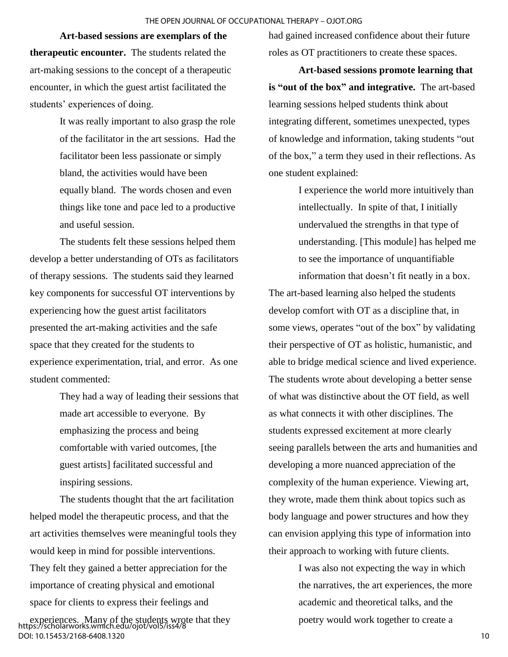#### THE OPEN JOURNAL OF OCCUPATIONAL THERAPY – OJOT.ORG

**Art-based sessions are exemplars of the therapeutic encounter.** The students related the art-making sessions to the concept of a therapeutic encounter, in which the guest artist facilitated the students' experiences of doing.

> It was really important to also grasp the role of the facilitator in the art sessions. Had the facilitator been less passionate or simply bland, the activities would have been equally bland. The words chosen and even things like tone and pace led to a productive and useful session.

The students felt these sessions helped them develop a better understanding of OTs as facilitators of therapy sessions. The students said they learned key components for successful OT interventions by experiencing how the guest artist facilitators presented the art-making activities and the safe space that they created for the students to experience experimentation, trial, and error. As one student commented:

> They had a way of leading their sessions that made art accessible to everyone. By emphasizing the process and being comfortable with varied outcomes, [the guest artists] facilitated successful and inspiring sessions.

The students thought that the art facilitation helped model the therapeutic process, and that the art activities themselves were meaningful tools they would keep in mind for possible interventions. They felt they gained a better appreciation for the importance of creating physical and emotional space for clients to express their feelings and

experiences. Many of the students wrote that they https://scholarworks.wmich.edu/ojot/vol5/iss4/8 DOI: 10.15453/2168-6408.1320

had gained increased confidence about their future roles as OT practitioners to create these spaces.

**Art-based sessions promote learning that is "out of the box" and integrative.** The art-based learning sessions helped students think about integrating different, sometimes unexpected, types of knowledge and information, taking students "out of the box," a term they used in their reflections. As one student explained:

> I experience the world more intuitively than intellectually. In spite of that, I initially undervalued the strengths in that type of understanding. [This module] has helped me to see the importance of unquantifiable information that doesn't fit neatly in a box.

The art-based learning also helped the students develop comfort with OT as a discipline that, in some views, operates "out of the box" by validating their perspective of OT as holistic, humanistic, and able to bridge medical science and lived experience. The students wrote about developing a better sense of what was distinctive about the OT field, as well as what connects it with other disciplines. The students expressed excitement at more clearly seeing parallels between the arts and humanities and developing a more nuanced appreciation of the complexity of the human experience. Viewing art, they wrote, made them think about topics such as body language and power structures and how they can envision applying this type of information into their approach to working with future clients.

> I was also not expecting the way in which the narratives, the art experiences, the more academic and theoretical talks, and the poetry would work together to create a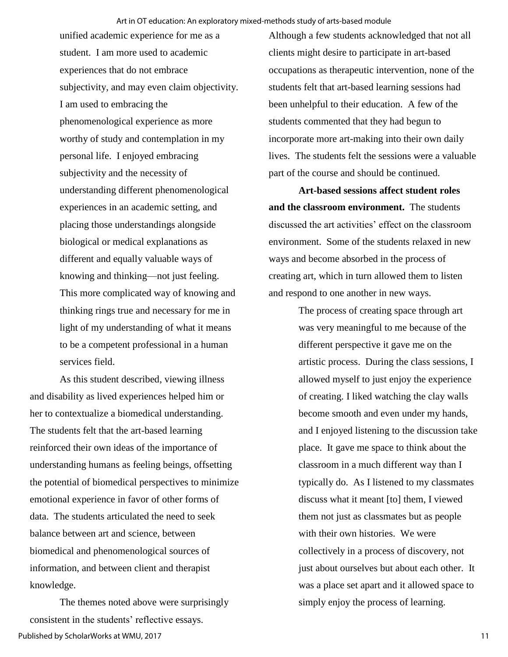unified academic experience for me as a student. I am more used to academic experiences that do not embrace subjectivity, and may even claim objectivity. I am used to embracing the phenomenological experience as more worthy of study and contemplation in my personal life. I enjoyed embracing subjectivity and the necessity of understanding different phenomenological experiences in an academic setting, and placing those understandings alongside biological or medical explanations as different and equally valuable ways of knowing and thinking—not just feeling. This more complicated way of knowing and thinking rings true and necessary for me in light of my understanding of what it means to be a competent professional in a human services field.

As this student described, viewing illness and disability as lived experiences helped him or her to contextualize a biomedical understanding. The students felt that the art-based learning reinforced their own ideas of the importance of understanding humans as feeling beings, offsetting the potential of biomedical perspectives to minimize emotional experience in favor of other forms of data. The students articulated the need to seek balance between art and science, between biomedical and phenomenological sources of information, and between client and therapist knowledge.

The themes noted above were surprisingly consistent in the students' reflective essays. Published by ScholarWorks at WMU, 2017

Although a few students acknowledged that not all clients might desire to participate in art-based occupations as therapeutic intervention, none of the students felt that art-based learning sessions had been unhelpful to their education. A few of the students commented that they had begun to incorporate more art-making into their own daily lives. The students felt the sessions were a valuable part of the course and should be continued.

**Art-based sessions affect student roles and the classroom environment.** The students discussed the art activities' effect on the classroom environment. Some of the students relaxed in new ways and become absorbed in the process of creating art, which in turn allowed them to listen and respond to one another in new ways.

> The process of creating space through art was very meaningful to me because of the different perspective it gave me on the artistic process. During the class sessions, I allowed myself to just enjoy the experience of creating. I liked watching the clay walls become smooth and even under my hands, and I enjoyed listening to the discussion take place. It gave me space to think about the classroom in a much different way than I typically do. As I listened to my classmates discuss what it meant [to] them, I viewed them not just as classmates but as people with their own histories. We were collectively in a process of discovery, not just about ourselves but about each other. It was a place set apart and it allowed space to simply enjoy the process of learning.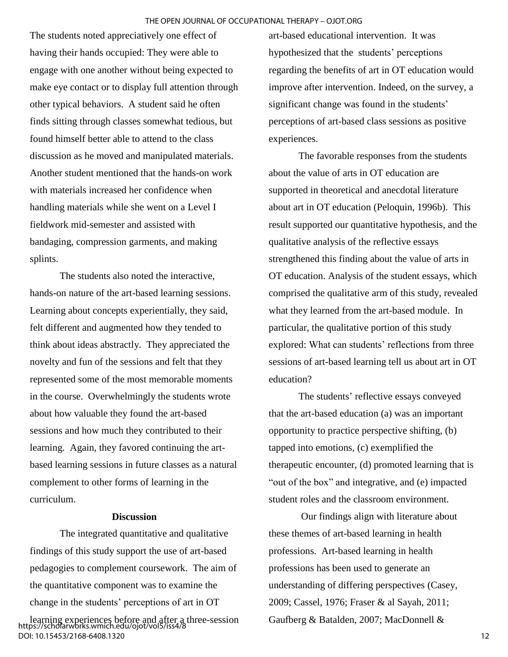The students noted appreciatively one effect of having their hands occupied: They were able to engage with one another without being expected to make eye contact or to display full attention through other typical behaviors. A student said he often finds sitting through classes somewhat tedious, but found himself better able to attend to the class discussion as he moved and manipulated materials. Another student mentioned that the hands-on work with materials increased her confidence when handling materials while she went on a Level I fieldwork mid-semester and assisted with bandaging, compression garments, and making splints.

The students also noted the interactive, hands-on nature of the art-based learning sessions. Learning about concepts experientially, they said, felt different and augmented how they tended to think about ideas abstractly. They appreciated the novelty and fun of the sessions and felt that they represented some of the most memorable moments in the course. Overwhelmingly the students wrote about how valuable they found the art-based sessions and how much they contributed to their learning. Again, they favored continuing the artbased learning sessions in future classes as a natural complement to other forms of learning in the curriculum.

## **Discussion**

The integrated quantitative and qualitative findings of this study support the use of art-based pedagogies to complement coursework. The aim of the quantitative component was to examine the change in the students' perceptions of art in OT

learning experiences before and after a three-session https://scholarworks.wmich.edu/ojot/vol5/iss4/8 DOI: 10.15453/2168-6408.1320

art-based educational intervention. It was hypothesized that the students' perceptions regarding the benefits of art in OT education would improve after intervention. Indeed, on the survey, a significant change was found in the students' perceptions of art-based class sessions as positive experiences.

The favorable responses from the students about the value of arts in OT education are supported in theoretical and anecdotal literature about art in OT education (Peloquin, 1996b). This result supported our quantitative hypothesis, and the qualitative analysis of the reflective essays strengthened this finding about the value of arts in OT education. Analysis of the student essays, which comprised the qualitative arm of this study, revealed what they learned from the art-based module. In particular, the qualitative portion of this study explored: What can students' reflections from three sessions of art-based learning tell us about art in OT education?

The students' reflective essays conveyed that the art-based education (a) was an important opportunity to practice perspective shifting, (b) tapped into emotions, (c) exemplified the therapeutic encounter, (d) promoted learning that is "out of the box" and integrative, and (e) impacted student roles and the classroom environment.

Our findings align with literature about these themes of art-based learning in health professions. Art-based learning in health professions has been used to generate an understanding of differing perspectives (Casey, 2009; Cassel, 1976; Fraser & al Sayah, 2011; Gaufberg & Batalden, 2007; MacDonnell &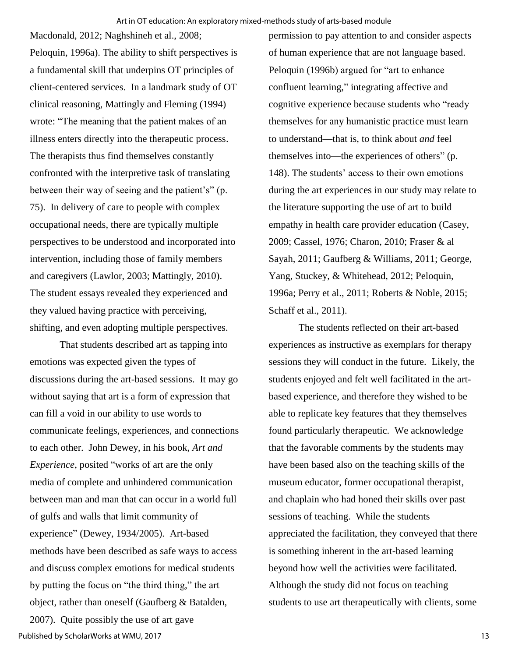Macdonald, 2012; Naghshineh et al., 2008; Peloquin, 1996a). The ability to shift perspectives is a fundamental skill that underpins OT principles of client-centered services. In a landmark study of OT clinical reasoning, Mattingly and Fleming (1994) wrote: "The meaning that the patient makes of an illness enters directly into the therapeutic process. The therapists thus find themselves constantly confronted with the interpretive task of translating between their way of seeing and the patient's" (p. 75). In delivery of care to people with complex occupational needs, there are typically multiple perspectives to be understood and incorporated into intervention, including those of family members and caregivers (Lawlor, 2003; Mattingly, 2010). The student essays revealed they experienced and they valued having practice with perceiving, shifting, and even adopting multiple perspectives.

That students described art as tapping into emotions was expected given the types of discussions during the art-based sessions. It may go without saying that art is a form of expression that can fill a void in our ability to use words to communicate feelings, experiences, and connections to each other. John Dewey, in his book, *Art and Experience*, posited "works of art are the only media of complete and unhindered communication between man and man that can occur in a world full of gulfs and walls that limit community of experience" (Dewey, 1934/2005). Art-based methods have been described as safe ways to access and discuss complex emotions for medical students by putting the focus on "the third thing," the art object, rather than oneself (Gaufberg & Batalden, 2007). Quite possibly the use of art gave

of human experience that are not language based. Peloquin (1996b) argued for "art to enhance confluent learning," integrating affective and cognitive experience because students who "ready themselves for any humanistic practice must learn to understand—that is, to think about *and* feel themselves into—the experiences of others" (p. 148). The students' access to their own emotions during the art experiences in our study may relate to the literature supporting the use of art to build empathy in health care provider education (Casey, 2009; Cassel, 1976; Charon, 2010; Fraser & al Sayah, 2011; Gaufberg & Williams, 2011; George, Yang, Stuckey, & Whitehead, 2012; Peloquin, 1996a; Perry et al., 2011; Roberts & Noble, 2015; Schaff et al., 2011).

permission to pay attention to and consider aspects

The students reflected on their art-based experiences as instructive as exemplars for therapy sessions they will conduct in the future. Likely, the students enjoyed and felt well facilitated in the artbased experience, and therefore they wished to be able to replicate key features that they themselves found particularly therapeutic. We acknowledge that the favorable comments by the students may have been based also on the teaching skills of the museum educator, former occupational therapist, and chaplain who had honed their skills over past sessions of teaching. While the students appreciated the facilitation, they conveyed that there is something inherent in the art-based learning beyond how well the activities were facilitated. Although the study did not focus on teaching students to use art therapeutically with clients, some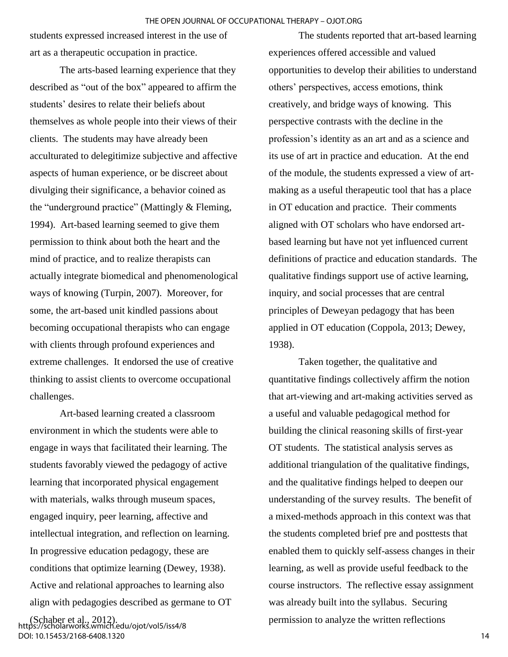students expressed increased interest in the use of art as a therapeutic occupation in practice.

The arts-based learning experience that they described as "out of the box" appeared to affirm the students' desires to relate their beliefs about themselves as whole people into their views of their clients. The students may have already been acculturated to delegitimize subjective and affective aspects of human experience, or be discreet about divulging their significance, a behavior coined as the "underground practice" (Mattingly & Fleming, 1994). Art-based learning seemed to give them permission to think about both the heart and the mind of practice, and to realize therapists can actually integrate biomedical and phenomenological ways of knowing (Turpin, 2007). Moreover, for some, the art-based unit kindled passions about becoming occupational therapists who can engage with clients through profound experiences and extreme challenges. It endorsed the use of creative thinking to assist clients to overcome occupational challenges.

Art-based learning created a classroom environment in which the students were able to engage in ways that facilitated their learning. The students favorably viewed the pedagogy of active learning that incorporated physical engagement with materials, walks through museum spaces, engaged inquiry, peer learning, affective and intellectual integration, and reflection on learning. In progressive education pedagogy, these are conditions that optimize learning (Dewey, 1938). Active and relational approaches to learning also align with pedagogies described as germane to OT

(Schaber et al., 2012). https://scholarworks.wmich.edu/ojot/vol5/iss4/8 DOI: 10.15453/2168-6408.1320

The students reported that art-based learning experiences offered accessible and valued opportunities to develop their abilities to understand others' perspectives, access emotions, think creatively, and bridge ways of knowing. This perspective contrasts with the decline in the profession's identity as an art and as a science and its use of art in practice and education. At the end of the module, the students expressed a view of artmaking as a useful therapeutic tool that has a place in OT education and practice. Their comments aligned with OT scholars who have endorsed artbased learning but have not yet influenced current definitions of practice and education standards. The qualitative findings support use of active learning, inquiry, and social processes that are central principles of Deweyan pedagogy that has been applied in OT education (Coppola, 2013; Dewey, 1938).

Taken together, the qualitative and quantitative findings collectively affirm the notion that art-viewing and art-making activities served as a useful and valuable pedagogical method for building the clinical reasoning skills of first-year OT students. The statistical analysis serves as additional triangulation of the qualitative findings, and the qualitative findings helped to deepen our understanding of the survey results. The benefit of a mixed-methods approach in this context was that the students completed brief pre and posttests that enabled them to quickly self-assess changes in their learning, as well as provide useful feedback to the course instructors. The reflective essay assignment was already built into the syllabus. Securing permission to analyze the written reflections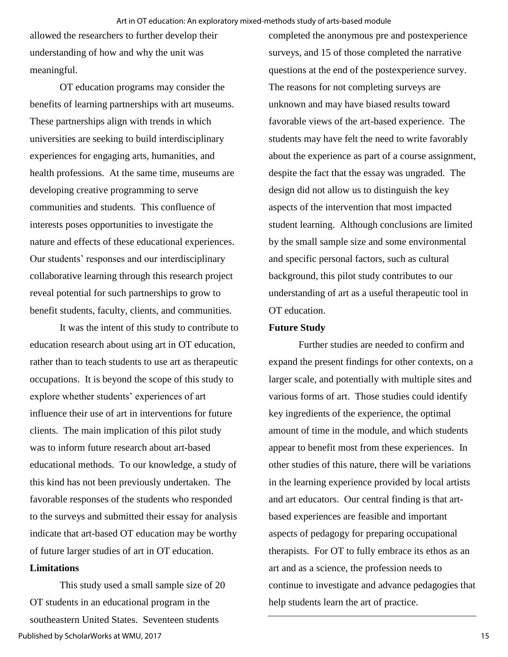allowed the researchers to further develop their understanding of how and why the unit was meaningful.

OT education programs may consider the benefits of learning partnerships with art museums. These partnerships align with trends in which universities are seeking to build interdisciplinary experiences for engaging arts, humanities, and health professions. At the same time, museums are developing creative programming to serve communities and students. This confluence of interests poses opportunities to investigate the nature and effects of these educational experiences. Our students' responses and our interdisciplinary collaborative learning through this research project reveal potential for such partnerships to grow to benefit students, faculty, clients, and communities.

It was the intent of this study to contribute to education research about using art in OT education, rather than to teach students to use art as therapeutic occupations. It is beyond the scope of this study to explore whether students' experiences of art influence their use of art in interventions for future clients. The main implication of this pilot study was to inform future research about art-based educational methods. To our knowledge, a study of this kind has not been previously undertaken. The favorable responses of the students who responded to the surveys and submitted their essay for analysis indicate that art-based OT education may be worthy of future larger studies of art in OT education.

## **Limitations**

This study used a small sample size of 20 OT students in an educational program in the southeastern United States. Seventeen students Published by ScholarWorks at WMU, 2017

completed the anonymous pre and postexperience surveys, and 15 of those completed the narrative questions at the end of the postexperience survey. The reasons for not completing surveys are unknown and may have biased results toward favorable views of the art-based experience. The students may have felt the need to write favorably about the experience as part of a course assignment, despite the fact that the essay was ungraded. The design did not allow us to distinguish the key aspects of the intervention that most impacted student learning. Although conclusions are limited by the small sample size and some environmental and specific personal factors, such as cultural background, this pilot study contributes to our understanding of art as a useful therapeutic tool in OT education.

### **Future Study**

Further studies are needed to confirm and expand the present findings for other contexts, on a larger scale, and potentially with multiple sites and various forms of art. Those studies could identify key ingredients of the experience, the optimal amount of time in the module, and which students appear to benefit most from these experiences. In other studies of this nature, there will be variations in the learning experience provided by local artists and art educators. Our central finding is that artbased experiences are feasible and important aspects of pedagogy for preparing occupational therapists. For OT to fully embrace its ethos as an art and as a science, the profession needs to continue to investigate and advance pedagogies that help students learn the art of practice.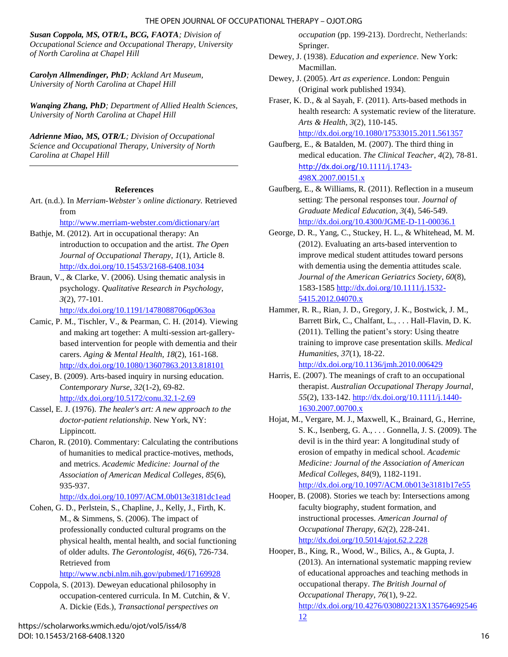#### THE OPEN JOURNAL OF OCCUPATIONAL THERAPY – OJOT.ORG

*Susan Coppola, MS, OTR/L, BCG, FAOTA; Division of Occupational Science and Occupational Therapy, University of North Carolina at Chapel Hill* 

*Carolyn Allmendinger, PhD; Ackland Art Museum, University of North Carolina at Chapel Hill* 

*Wanqing Zhang, PhD; Department of Allied Health Sciences, University of North Carolina at Chapel Hill* 

*Adrienne Miao, MS, OTR/L; Division of Occupational Science and Occupational Therapy, University of North Carolina at Chapel Hill*

#### **References**

Art. (n.d.). In *Merriam-Webster's online dictionary.* Retrieved from

<http://www.merriam-webster.com/dictionary/art>

- Bathje, M. (2012). Art in occupational therapy: An introduction to occupation and the artist. *The Open Journal of Occupational Therapy*, *1*(1), Article 8. <http://dx.doi.org/10.15453/2168-6408.1034>
- Braun, V., & Clarke, V. (2006). Using thematic analysis in psychology. *Qualitative Research in Psychology*, *3*(2), 77-101.

<http://dx.doi.org/10.1191/1478088706qp063oa>

- Camic, P. M., Tischler, V., & Pearman, C. H. (2014). Viewing and making art together: A multi-session art-gallerybased intervention for people with dementia and their carers. *Aging & Mental Health*, *18*(2), 161-168. <http://dx.doi.org/10.1080/13607863.2013.818101>
- Casey, B. (2009). Arts-based inquiry in nursing education. *Contemporary Nurse*, *32*(1-2), 69-82. <http://dx.doi.org/10.5172/conu.32.1-2.69>
- Cassel, E. J. (1976). *The healer's art: A new approach to the doctor-patient relationship*. New York, NY: Lippincott.
- Charon, R. (2010). Commentary: Calculating the contributions of humanities to medical practice-motives, methods, and metrics. *Academic Medicine: Journal of the Association of American Medical Colleges*, *85*(6), 935-937.

<http://dx.doi.org/10.1097/ACM.0b013e3181dc1ead>

Cohen, G. D., Perlstein, S., Chapline, J., Kelly, J., Firth, K. M., & Simmens, S. (2006). The impact of professionally conducted cultural programs on the physical health, mental health, and social functioning of older adults. *The Gerontologist*, *46*(6), 726-734. Retrieved from

<http://www.ncbi.nlm.nih.gov/pubmed/17169928>

Coppola, S. (2013). Deweyan educational philosophy in occupation-centered curricula. In M. Cutchin, & V. A. Dickie (Eds.), *Transactional perspectives on* 

*occupation* (pp. 199-213). Dordrecht, Netherlands: Springer.

- Dewey, J. (1938). *Education and experience.* New York: Macmillan.
- Dewey, J. (2005). *Art as experience*. London: Penguin (Original work published 1934).

Fraser, K. D., & al Sayah, F. (2011). Arts-based methods in health research: A systematic review of the literature. *Arts & Health*, *3*(2), 110-145. <http://dx.doi.org/10.1080/17533015.2011.561357>

Gaufberg, E., & Batalden, M. (2007). The third thing in medical education. *The Clinical Teacher*, *4*(2), 78-81. [http://dx.doi.org/](https://monash.rl.talis.com/link?url=http%3A%2F%2Fezproxy.lib.monash.edu.au%2Flogin%3Fqurl%3Dhttp%253A%252F%252Fdx.doi.org%252F10.1111%252Fj.1743-498X.2007.00151.x&sig=1347f56f4551285dc49bee781ee2b9f0e339e2561992b861b8c9b5142a135fe2)10.1111/j.1743- [498X.2007.00151.x](https://monash.rl.talis.com/link?url=http%3A%2F%2Fezproxy.lib.monash.edu.au%2Flogin%3Fqurl%3Dhttp%253A%252F%252Fdx.doi.org%252F10.1111%252Fj.1743-498X.2007.00151.x&sig=1347f56f4551285dc49bee781ee2b9f0e339e2561992b861b8c9b5142a135fe2) 

- Gaufberg, E., & Williams, R. (2011). Reflection in a museum setting: The personal responses tour. *Journal of Graduate Medical Education*, *3*(4), 546-549. <http://dx.doi.org/10.4300/JGME-D-11-00036.1>
- George, D. R., Yang, C., Stuckey, H. L., & Whitehead, M. M. (2012). Evaluating an arts-based intervention to improve medical student attitudes toward persons with dementia using the dementia attitudes scale. *Journal of the American Geriatrics Society*, *60*(8), 1583-1585 [http://dx.doi.org/10.1111/j.1532-](http://dx.doi.org/10.1111/j.1532-5415.2012.04070.x) [5415.2012.04070.x](http://dx.doi.org/10.1111/j.1532-5415.2012.04070.x)
- Hammer, R. R., Rian, J. D., Gregory, J. K., Bostwick, J. M., Barrett Birk, C., Chalfant, L., . . . Hall-Flavin, D. K. (2011). Telling the patient's story: Using theatre training to improve case presentation skills. *Medical Humanities*, *37*(1), 18-22. <http://dx.doi.org/10.1136/jmh.2010.006429>
- Harris, E. (2007). The meanings of craft to an occupational therapist. *Australian Occupational Therapy Journal*, *55*(2), 133-142. [http://dx.doi.org/10.1111/j.1440-](http://dx.doi.org/10.1111/j.1440-1630.2007.00700.x) [1630.2007.00700.x](http://dx.doi.org/10.1111/j.1440-1630.2007.00700.x)
- Hojat, M., Vergare, M. J., Maxwell, K., Brainard, G., Herrine, S. K., Isenberg, G. A., . . . Gonnella, J. S. (2009). The devil is in the third year: A longitudinal study of erosion of empathy in medical school. *Academic Medicine: Journal of the Association of American Medical Colleges*, *84*(9), 1182-1191. <http://dx.doi.org/10.1097/ACM.0b013e3181b17e55>
- Hooper, B. (2008). Stories we teach by: Intersections among faculty biography, student formation, and instructional processes. *American Journal of Occupational Therapy*, *62*(2), 228-241. <http://dx.doi.org/10.5014/ajot.62.2.228>
- Hooper, B., King, R., Wood, W., Bilics, A., & Gupta, J. (2013). An international systematic mapping review of educational approaches and teaching methods in occupational therapy. *The British Journal of Occupational Therapy*, *76*(1), 9-22. [http://dx.doi.org/10.4276/030802213X135764692546](http://dx.doi.org/10.4276/030802213X13576469254612) [12](http://dx.doi.org/10.4276/030802213X13576469254612)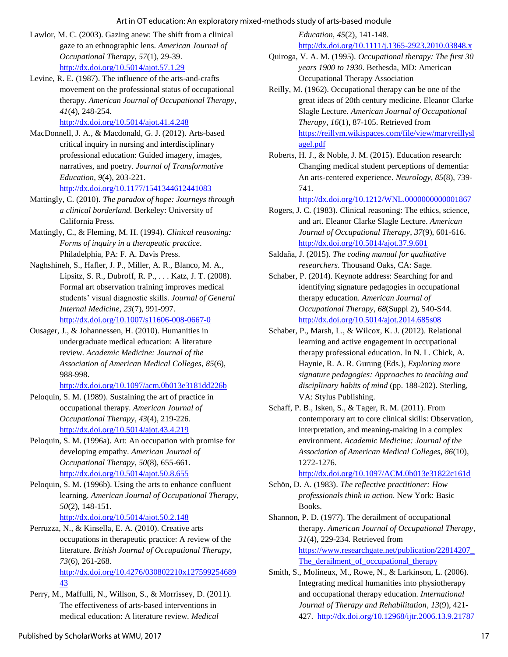#### Art in OT education: An exploratory mixed-methods study of arts-based module

- Lawlor, M. C. (2003). Gazing anew: The shift from a clinical gaze to an ethnographic lens. *American Journal of Occupational Therapy*, *57*(1), 29-39. <http://dx.doi.org/10.5014/ajot.57.1.29>
- Levine, R. E. (1987). The influence of the arts-and-crafts movement on the professional status of occupational therapy. *American Journal of Occupational Therapy*, *41*(4), 248-254.

<http://dx.doi.org/10.5014/ajot.41.4.248>

- MacDonnell, J. A., & Macdonald, G. J. (2012). Arts-based critical inquiry in nursing and interdisciplinary professional education: Guided imagery, images, narratives, and poetry. *Journal of Transformative Education*, *9*(4), 203-221. <http://dx.doi.org/10.1177/1541344612441083>
- Mattingly, C. (2010). *The paradox of hope: Journeys through a clinical borderland.* Berkeley: University of California Press.
- Mattingly, C., & Fleming, M. H. (1994). *Clinical reasoning: Forms of inquiry in a therapeutic practice*. Philadelphia, PA: F. A. Davis Press.
- Naghshineh, S., Hafler, J. P., Miller, A. R., Blanco, M. A., Lipsitz, S. R., Dubroff, R. P., . . . Katz, J. T. (2008). Formal art observation training improves medical students' visual diagnostic skills. *Journal of General Internal Medicine*, *23*(7), 991-997.

<http://dx.doi.org/10.1007/s11606-008-0667-0>

Ousager, J., & Johannessen, H. (2010). Humanities in undergraduate medical education: A literature review. *Academic Medicine: Journal of the Association of American Medical Colleges*, *85*(6), 988-998.

<http://dx.doi.org/10.1097/acm.0b013e3181dd226b>

- Peloquin, S. M. (1989). Sustaining the art of practice in occupational therapy. *American Journal of Occupational Therapy*, *43*(4), 219-226. <http://dx.doi.org/10.5014/ajot.43.4.219>
- Peloquin, S. M. (1996a). Art: An occupation with promise for developing empathy. *American Journal of Occupational Therapy*, *50*(8), 655-661. <http://dx.doi.org/10.5014/ajot.50.8.655>
- Peloquin, S. M. (1996b). Using the arts to enhance confluent learning. *American Journal of Occupational Therapy*, *50*(2), 148-151.

<http://dx.doi.org/10.5014/ajot.50.2.148>

- Perruzza, N., & Kinsella, E. A. (2010). Creative arts occupations in therapeutic practice: A review of the literature. *British Journal of Occupational Therapy*, *73*(6), 261-268. [http://dx.doi.org/10.4276/030802210x127599254689](http://dx.doi.org/10.4276/030802210x12759925468943) [43](http://dx.doi.org/10.4276/030802210x12759925468943)
- Perry, M., Maffulli, N., Willson, S., & Morrissey, D. (2011). The effectiveness of arts-based interventions in medical education: A literature review. *Medical*

*Education*, *45*(2), 141-148.

#### <http://dx.doi.org/10.1111/j.1365-2923.2010.03848.x>

- Quiroga, V. A. M. (1995). *Occupational therapy: The first 30 years 1900 to 1930.* Bethesda, MD: American Occupational Therapy Association
- Reilly, M. (1962). Occupational therapy can be one of the great ideas of 20th century medicine. Eleanor Clarke Slagle Lecture. *American Journal of Occupational Therapy*, *16*(1), 87-105. Retrieved from [https://reillym.wikispaces.com/file/view/maryreillysl](https://reillym.wikispaces.com/file/view/maryreillyslagel.pdf) [agel.pdf](https://reillym.wikispaces.com/file/view/maryreillyslagel.pdf)
- Roberts, H. J., & Noble, J. M. (2015). Education research: Changing medical student perceptions of dementia: An arts-centered experience. *Neurology*, *85*(8), 739- 741.

<http://dx.doi.org/10.1212/WNL.0000000000001867>

- Rogers, J. C. (1983). Clinical reasoning: The ethics, science, and art. Eleanor Clarke Slagle Lecture. *American Journal of Occupational Therapy*, *37*(9), 601-616. <http://dx.doi.org/10.5014/ajot.37.9.601>
- Saldaña, J. (2015). *The coding manual for qualitative researchers*. Thousand Oaks, CA: Sage.
- Schaber, P. (2014). Keynote address: Searching for and identifying signature pedagogies in occupational therapy education. *American Journal of Occupational Therapy*, *68*(Suppl 2), S40-S44. <http://dx.doi.org/10.5014/ajot.2014.685s08>
- Schaber, P., Marsh, L., & Wilcox, K. J. (2012). Relational learning and active engagement in occupational therapy professional education. In N. L. Chick, A. Haynie, R. A. R. Gurung (Eds.), *Exploring more signature pedagogies: Approaches to teaching and disciplinary habits of mind* (pp. 188-202). Sterling, VA: Stylus Publishing.
- Schaff, P. B., Isken, S., & Tager, R. M. (2011). From contemporary art to core clinical skills: Observation, interpretation, and meaning-making in a complex environment. *Academic Medicine: Journal of the Association of American Medical Colleges*, *86*(10), 1272-1276.

<http://dx.doi.org/10.1097/ACM.0b013e31822c161d>

Schön, D. A. (1983). *The reflective practitioner: How professionals think in action.* New York: Basic Books.

Shannon, P. D. (1977). The derailment of occupational therapy. *American Journal of Occupational Therapy*, *31*(4), 229-234*.* Retrieved from [https://www.researchgate.net/publication/22814207\\_](https://www.researchgate.net/publication/22814207_The_derailment_of_occupational_therapy) The\_derailment\_of\_occupational\_therapy

Smith, S., Molineux, M., Rowe, N., & Larkinson, L. (2006). Integrating medical humanities into physiotherapy and occupational therapy education. *International Journal of Therapy and Rehabilitation*, *13*(9), 421- 427.<http://dx.doi.org/10.12968/ijtr.2006.13.9.21787>